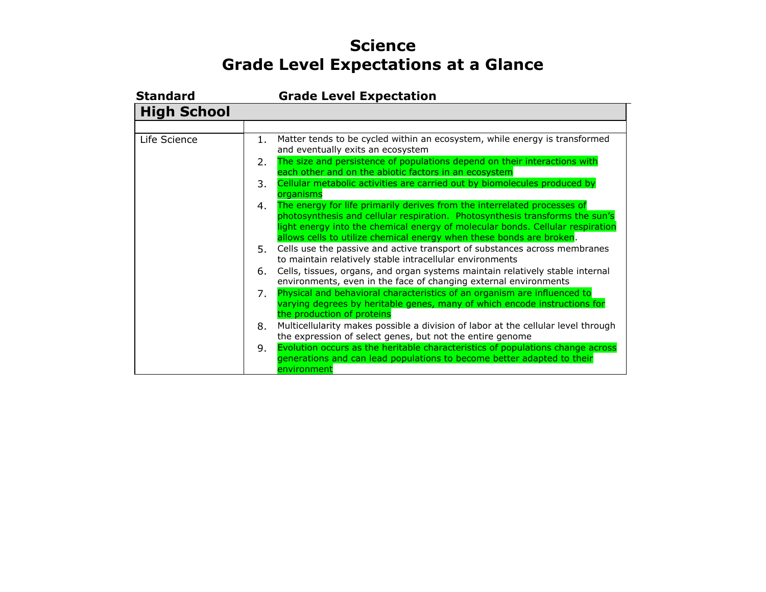## **Science Grade Level Expectations at a Glance**

| <b>Standard</b>    |    | <b>Grade Level Expectation</b>                                                                                                                                                                                                                                                                                     |
|--------------------|----|--------------------------------------------------------------------------------------------------------------------------------------------------------------------------------------------------------------------------------------------------------------------------------------------------------------------|
| <b>High School</b> |    |                                                                                                                                                                                                                                                                                                                    |
|                    |    |                                                                                                                                                                                                                                                                                                                    |
| Life Science       | 1. | Matter tends to be cycled within an ecosystem, while energy is transformed<br>and eventually exits an ecosystem                                                                                                                                                                                                    |
|                    | 2. | The size and persistence of populations depend on their interactions with<br>each other and on the abiotic factors in an ecosystem                                                                                                                                                                                 |
|                    | 3. | Cellular metabolic activities are carried out by biomolecules produced by<br>organisms                                                                                                                                                                                                                             |
|                    | 4. | The energy for life primarily derives from the interrelated processes of<br>photosynthesis and cellular respiration. Photosynthesis transforms the sun's<br>light energy into the chemical energy of molecular bonds. Cellular respiration<br>allows cells to utilize chemical energy when these bonds are broken. |
|                    |    | 5. Cells use the passive and active transport of substances across membranes<br>to maintain relatively stable intracellular environments                                                                                                                                                                           |
|                    | 6. | Cells, tissues, organs, and organ systems maintain relatively stable internal<br>environments, even in the face of changing external environments                                                                                                                                                                  |
|                    | 7. | Physical and behavioral characteristics of an organism are influenced to<br>varying degrees by heritable genes, many of which encode instructions for<br>the production of proteins                                                                                                                                |
|                    | 8. | Multicellularity makes possible a division of labor at the cellular level through<br>the expression of select genes, but not the entire genome                                                                                                                                                                     |
|                    | 9. | Evolution occurs as the heritable characteristics of populations change across<br>generations and can lead populations to become better adapted to their<br>environment                                                                                                                                            |